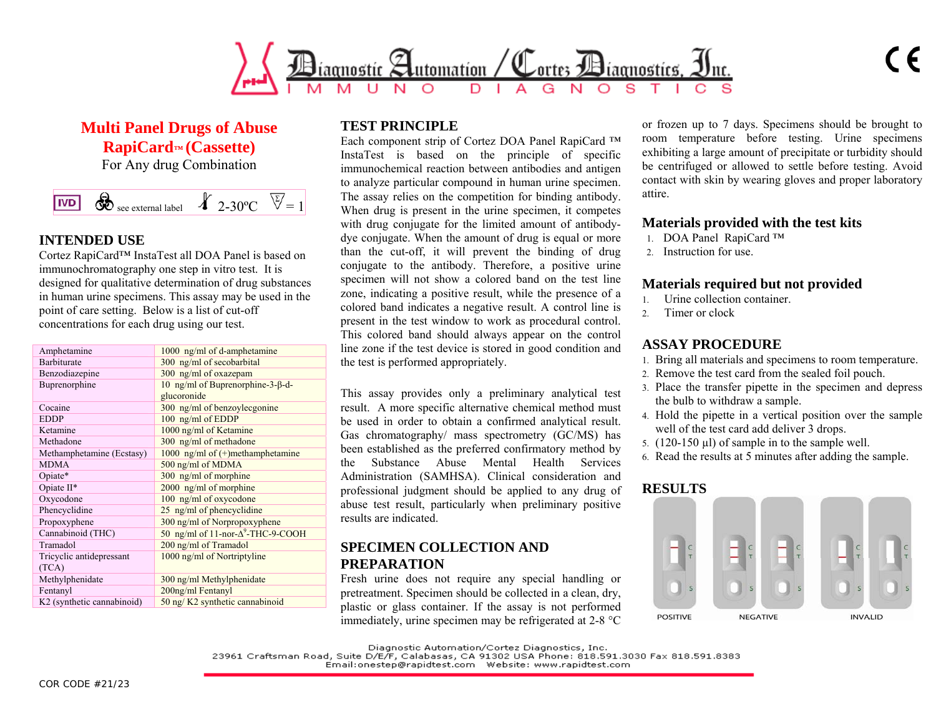

**Multi Panel Drugs of Abuse RapiCard™ (Cassette)** 

For Any drug Combination



## **INTENDED USE**

Cortez RapiCard™ InstaTest all DOA Panel is based on immunochromatography one step in vitro test. It is designed for qualitative determination of drug substances in human urine specimens. This assay may be used in the point of care setting. Below is a list of cut-off concentrations for each drug using our test.

| Amphetamine                | 1000 ng/ml of d-amphetamine                |
|----------------------------|--------------------------------------------|
| <b>Barbiturate</b>         | 300 ng/ml of secobarbital                  |
| Benzodiazepine             | 300 ng/ml of oxazepam                      |
| Buprenorphine              | 10 ng/ml of Buprenorphine-3- $\beta$ -d-   |
|                            | glucoronide                                |
| Cocaine                    | 300 ng/ml of benzoylecgonine               |
| <b>EDDP</b>                | 100 ng/ml of EDDP                          |
| Ketamine                   | 1000 ng/ml of Ketamine                     |
| Methadone                  | 300 ng/ml of methadone                     |
| Methamphetamine (Ecstasy)  | 1000 ng/ml of $(+)$ methamphetamine        |
| <b>MDMA</b>                | 500 ng/ml of MDMA                          |
| Opiate*                    | 300 ng/ml of morphine                      |
| Opiate II*                 | $2000$ ng/ml of morphine                   |
| Oxycodone                  | 100 ng/ml of oxycodone                     |
| Phencyclidine              | 25 ng/ml of phencyclidine                  |
| Propoxyphene               | 300 ng/ml of Norpropoxyphene               |
| Cannabinoid (THC)          | 50 ng/ml of 11-nor- $\Delta^9$ -THC-9-COOH |
| Tramadol                   | 200 ng/ml of Tramadol                      |
| Tricyclic antidepressant   | 1000 ng/ml of Nortriptyline                |
| (TCA)                      |                                            |
| Methylphenidate            | 300 ng/ml Methylphenidate                  |
| Fentanyl                   | 200ng/ml Fentanyl                          |
| K2 (synthetic cannabinoid) | 50 ng/K2 synthetic cannabinoid             |
|                            |                                            |

# **TEST PRINCIPLE**

Each component strip of Cortez DOA Panel RapiCard ™ InstaTest is based on the principle of specific immunochemical reaction between antibodies and antigen to analyze particular compound in human urine specimen. The assay relies on the competition for binding antibody. When drug is present in the urine specimen, it competes with drug conjugate for the limited amount of antibodydye conjugate. When the amount of drug is equal or more than the cut-off, it will prevent the binding of drug conjugate to the antibody. Therefore, a positive urine specimen will not show a colored band on the test line zone, indicating a positive result, while the presence of a colored band indicates a negative result. A control line is present in the test window to work as procedural control. This colored band should always appear on the control line zone if the test device is stored in good condition and the test is performed appropriately.

This assay provides only a preliminary analytical test result. A more specific alternative chemical method must be used in order to obtain a confirmed analytical result. Gas chromatography/ mass spectrometry (GC/MS) has been established as the preferred confirmatory method by the Substance Abuse Mental Health Services Administration (SAMHSA). Clinical consideration and professional judgment should be applied to any drug of abuse test result, particularly when preliminary positive results are indicated.

# **SPECIMEN COLLECTION AND PREPARATION**

Fresh urine does not require any special handling or pretreatment. Specimen should be collected in a clean, dry, plastic or glass container. If the assay is not performed immediately, urine specimen may be refrigerated at 2-8 °C

or frozen up to 7 days. Specimens should be brought to room temperature before testing. Urine specimens exhibiting a large amount of precipitate or turbidity should be centrifuged or allowed to settle before testing. Avoid contact with skin by wearing gloves and proper laboratory attire.

## **Materials provided with the test kits**

- 1. DOA Panel RapiCard ™
- 2. Instruction for use.

### **Materials required but not provided**

- 1.Urine collection container.
- 2. Timer or clock

# **ASSAY PROCEDURE**

- 1. Bring all materials and specimens to room temperature.
- 2. Remove the test card from the sealed foil pouch.
- 3. Place the transfer pipette in the specimen and depress the bulb to withdraw a sample.
- 4. Hold the pipette in a vertical position over the sample well of the test card add deliver 3 drops.
- 5. (120-150 µl) of sample in to the sample well.
- 6. Read the results at 5 minutes after adding the sample.

# **RESULTS**



Diagnostic Automation/Cortez Diagnostics, Inc.<br>23961 Craftsman Road, Suite D/E/F, Calabasas, CA 91302 USA Phone: 818.591.3030 Fax 818.591.8383<br>Email:onestep@rapidtest.com - Website: www.rapidtest.com